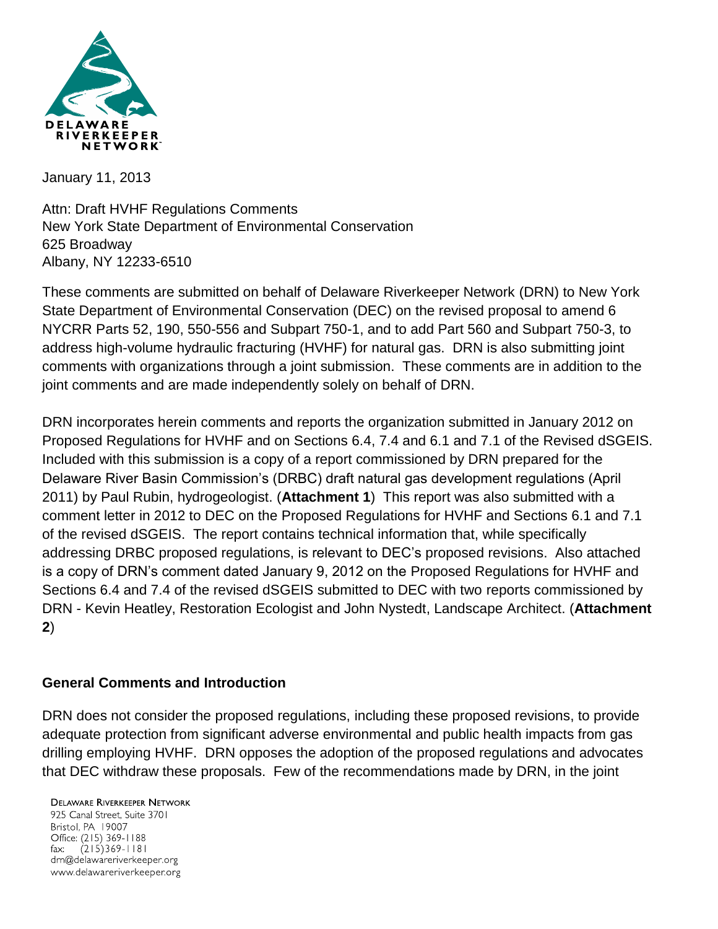

January 11, 2013

Attn: Draft HVHF Regulations Comments New York State Department of Environmental Conservation 625 Broadway Albany, NY 12233-6510

These comments are submitted on behalf of Delaware Riverkeeper Network (DRN) to New York State Department of Environmental Conservation (DEC) on the revised proposal to amend 6 NYCRR Parts 52, 190, 550-556 and Subpart 750-1, and to add Part 560 and Subpart 750-3, to address high-volume hydraulic fracturing (HVHF) for natural gas. DRN is also submitting joint comments with organizations through a joint submission. These comments are in addition to the joint comments and are made independently solely on behalf of DRN.

DRN incorporates herein comments and reports the organization submitted in January 2012 on Proposed Regulations for HVHF and on Sections 6.4, 7.4 and 6.1 and 7.1 of the Revised dSGEIS. Included with this submission is a copy of a report commissioned by DRN prepared for the Delaware River Basin Commission's (DRBC) draft natural gas development regulations (April 2011) by Paul Rubin, hydrogeologist. (**Attachment 1**) This report was also submitted with a comment letter in 2012 to DEC on the Proposed Regulations for HVHF and Sections 6.1 and 7.1 of the revised dSGEIS. The report contains technical information that, while specifically addressing DRBC proposed regulations, is relevant to DEC's proposed revisions. Also attached is a copy of DRN's comment dated January 9, 2012 on the Proposed Regulations for HVHF and Sections 6.4 and 7.4 of the revised dSGEIS submitted to DEC with two reports commissioned by DRN - Kevin Heatley, Restoration Ecologist and John Nystedt, Landscape Architect. (**Attachment 2**)

### **General Comments and Introduction**

DRN does not consider the proposed regulations, including these proposed revisions, to provide adequate protection from significant adverse environmental and public health impacts from gas drilling employing HVHF. DRN opposes the adoption of the proposed regulations and advocates that DEC withdraw these proposals. Few of the recommendations made by DRN, in the joint

**DELAWARE RIVERKEEPER NETWORK** 925 Canal Street, Suite 3701 Bristol, PA 19007 Office: (215) 369-1188  $(215)369 - 1181$ fax: drn@delawareriverkeeper.org www.delawareriverkeeper.org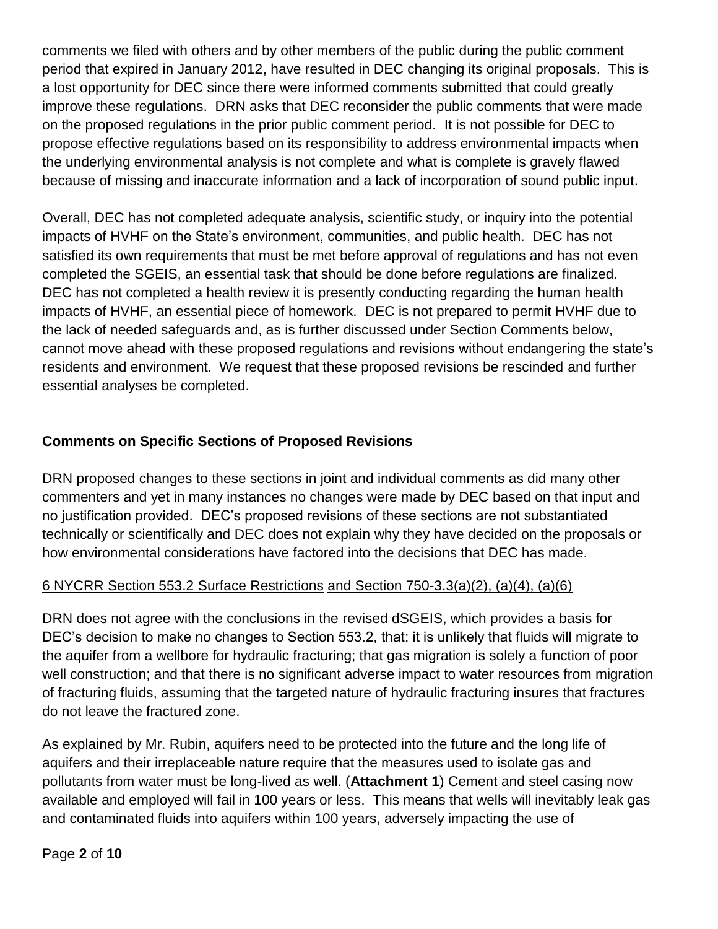comments we filed with others and by other members of the public during the public comment period that expired in January 2012, have resulted in DEC changing its original proposals. This is a lost opportunity for DEC since there were informed comments submitted that could greatly improve these regulations. DRN asks that DEC reconsider the public comments that were made on the proposed regulations in the prior public comment period. It is not possible for DEC to propose effective regulations based on its responsibility to address environmental impacts when the underlying environmental analysis is not complete and what is complete is gravely flawed because of missing and inaccurate information and a lack of incorporation of sound public input.

Overall, DEC has not completed adequate analysis, scientific study, or inquiry into the potential impacts of HVHF on the State's environment, communities, and public health. DEC has not satisfied its own requirements that must be met before approval of regulations and has not even completed the SGEIS, an essential task that should be done before regulations are finalized. DEC has not completed a health review it is presently conducting regarding the human health impacts of HVHF, an essential piece of homework. DEC is not prepared to permit HVHF due to the lack of needed safeguards and, as is further discussed under Section Comments below, cannot move ahead with these proposed regulations and revisions without endangering the state's residents and environment. We request that these proposed revisions be rescinded and further essential analyses be completed.

# **Comments on Specific Sections of Proposed Revisions**

DRN proposed changes to these sections in joint and individual comments as did many other commenters and yet in many instances no changes were made by DEC based on that input and no justification provided. DEC's proposed revisions of these sections are not substantiated technically or scientifically and DEC does not explain why they have decided on the proposals or how environmental considerations have factored into the decisions that DEC has made.

### 6 NYCRR Section 553.2 Surface Restrictions and Section 750-3.3(a)(2), (a)(4), (a)(6)

DRN does not agree with the conclusions in the revised dSGEIS, which provides a basis for DEC's decision to make no changes to Section 553.2, that: it is unlikely that fluids will migrate to the aquifer from a wellbore for hydraulic fracturing; that gas migration is solely a function of poor well construction; and that there is no significant adverse impact to water resources from migration of fracturing fluids, assuming that the targeted nature of hydraulic fracturing insures that fractures do not leave the fractured zone.

As explained by Mr. Rubin, aquifers need to be protected into the future and the long life of aquifers and their irreplaceable nature require that the measures used to isolate gas and pollutants from water must be long-lived as well. (**Attachment 1**) Cement and steel casing now available and employed will fail in 100 years or less. This means that wells will inevitably leak gas and contaminated fluids into aquifers within 100 years, adversely impacting the use of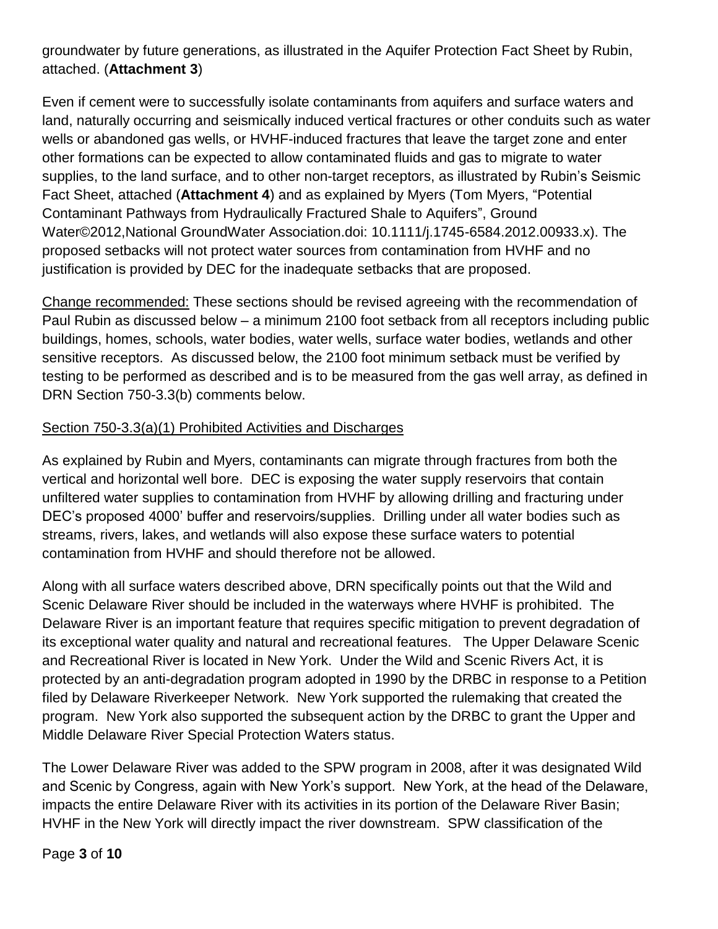# groundwater by future generations, as illustrated in the Aquifer Protection Fact Sheet by Rubin, attached. (**Attachment 3**)

Even if cement were to successfully isolate contaminants from aquifers and surface waters and land, naturally occurring and seismically induced vertical fractures or other conduits such as water wells or abandoned gas wells, or HVHF-induced fractures that leave the target zone and enter other formations can be expected to allow contaminated fluids and gas to migrate to water supplies, to the land surface, and to other non-target receptors, as illustrated by Rubin's Seismic Fact Sheet, attached (**Attachment 4**) and as explained by Myers (Tom Myers, "Potential Contaminant Pathways from Hydraulically Fractured Shale to Aquifers", Ground Water©2012,National GroundWater Association.doi: 10.1111/j.1745-6584.2012.00933.x). The proposed setbacks will not protect water sources from contamination from HVHF and no justification is provided by DEC for the inadequate setbacks that are proposed.

Change recommended: These sections should be revised agreeing with the recommendation of Paul Rubin as discussed below – a minimum 2100 foot setback from all receptors including public buildings, homes, schools, water bodies, water wells, surface water bodies, wetlands and other sensitive receptors. As discussed below, the 2100 foot minimum setback must be verified by testing to be performed as described and is to be measured from the gas well array, as defined in DRN Section 750-3.3(b) comments below.

### Section 750-3.3(a)(1) Prohibited Activities and Discharges

As explained by Rubin and Myers, contaminants can migrate through fractures from both the vertical and horizontal well bore. DEC is exposing the water supply reservoirs that contain unfiltered water supplies to contamination from HVHF by allowing drilling and fracturing under DEC's proposed 4000' buffer and reservoirs/supplies. Drilling under all water bodies such as streams, rivers, lakes, and wetlands will also expose these surface waters to potential contamination from HVHF and should therefore not be allowed.

Along with all surface waters described above, DRN specifically points out that the Wild and Scenic Delaware River should be included in the waterways where HVHF is prohibited. The Delaware River is an important feature that requires specific mitigation to prevent degradation of its exceptional water quality and natural and recreational features. The Upper Delaware Scenic and Recreational River is located in New York. Under the Wild and Scenic Rivers Act, it is protected by an anti-degradation program adopted in 1990 by the DRBC in response to a Petition filed by Delaware Riverkeeper Network. New York supported the rulemaking that created the program. New York also supported the subsequent action by the DRBC to grant the Upper and Middle Delaware River Special Protection Waters status.

The Lower Delaware River was added to the SPW program in 2008, after it was designated Wild and Scenic by Congress, again with New York's support. New York, at the head of the Delaware, impacts the entire Delaware River with its activities in its portion of the Delaware River Basin; HVHF in the New York will directly impact the river downstream. SPW classification of the

#### Page **3** of **10**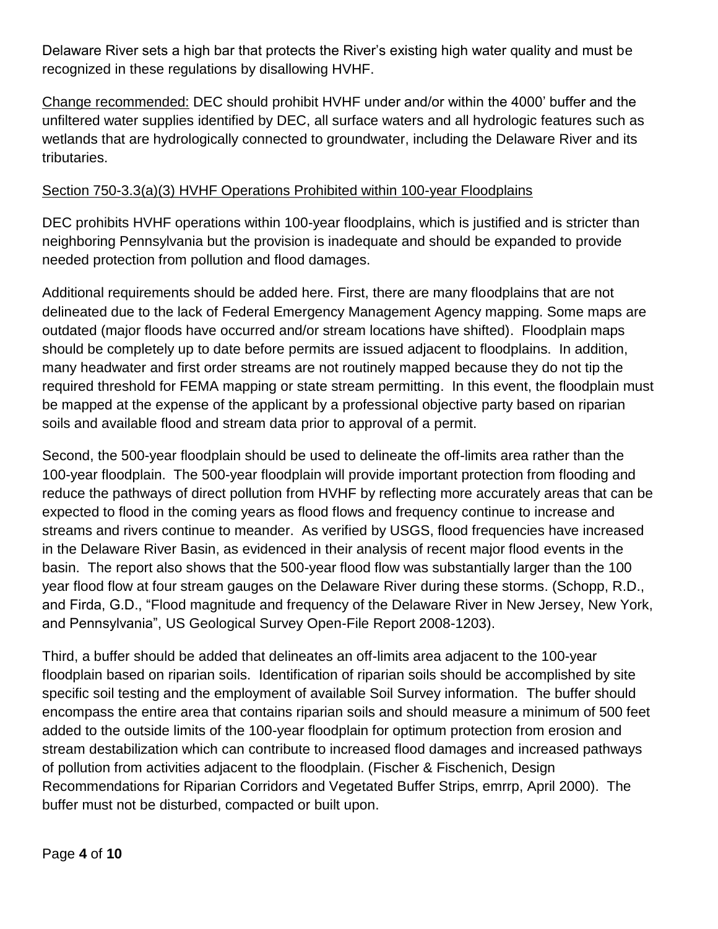Delaware River sets a high bar that protects the River's existing high water quality and must be recognized in these regulations by disallowing HVHF.

Change recommended: DEC should prohibit HVHF under and/or within the 4000' buffer and the unfiltered water supplies identified by DEC, all surface waters and all hydrologic features such as wetlands that are hydrologically connected to groundwater, including the Delaware River and its tributaries.

### Section 750-3.3(a)(3) HVHF Operations Prohibited within 100-year Floodplains

DEC prohibits HVHF operations within 100-year floodplains, which is justified and is stricter than neighboring Pennsylvania but the provision is inadequate and should be expanded to provide needed protection from pollution and flood damages.

Additional requirements should be added here. First, there are many floodplains that are not delineated due to the lack of Federal Emergency Management Agency mapping. Some maps are outdated (major floods have occurred and/or stream locations have shifted). Floodplain maps should be completely up to date before permits are issued adjacent to floodplains. In addition, many headwater and first order streams are not routinely mapped because they do not tip the required threshold for FEMA mapping or state stream permitting. In this event, the floodplain must be mapped at the expense of the applicant by a professional objective party based on riparian soils and available flood and stream data prior to approval of a permit.

Second, the 500-year floodplain should be used to delineate the off-limits area rather than the 100-year floodplain. The 500-year floodplain will provide important protection from flooding and reduce the pathways of direct pollution from HVHF by reflecting more accurately areas that can be expected to flood in the coming years as flood flows and frequency continue to increase and streams and rivers continue to meander. As verified by USGS, flood frequencies have increased in the Delaware River Basin, as evidenced in their analysis of recent major flood events in the basin. The report also shows that the 500-year flood flow was substantially larger than the 100 year flood flow at four stream gauges on the Delaware River during these storms. (Schopp, R.D., and Firda, G.D., "Flood magnitude and frequency of the Delaware River in New Jersey, New York, and Pennsylvania", US Geological Survey Open-File Report 2008-1203).

Third, a buffer should be added that delineates an off-limits area adjacent to the 100-year floodplain based on riparian soils. Identification of riparian soils should be accomplished by site specific soil testing and the employment of available Soil Survey information. The buffer should encompass the entire area that contains riparian soils and should measure a minimum of 500 feet added to the outside limits of the 100-year floodplain for optimum protection from erosion and stream destabilization which can contribute to increased flood damages and increased pathways of pollution from activities adjacent to the floodplain. (Fischer & Fischenich, Design Recommendations for Riparian Corridors and Vegetated Buffer Strips, emrrp, April 2000). The buffer must not be disturbed, compacted or built upon.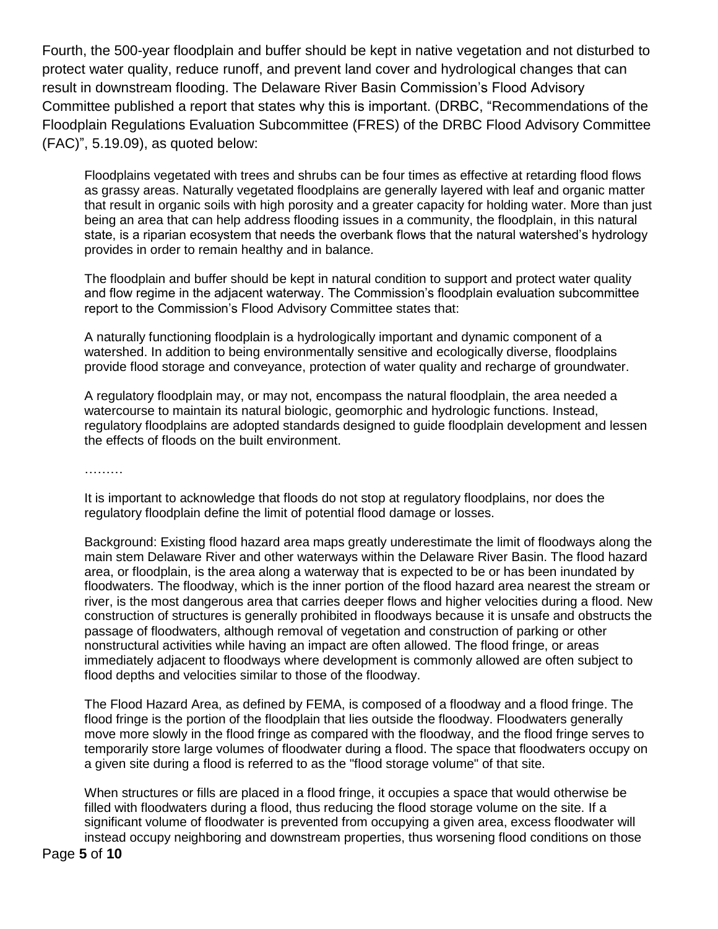Fourth, the 500-year floodplain and buffer should be kept in native vegetation and not disturbed to protect water quality, reduce runoff, and prevent land cover and hydrological changes that can result in downstream flooding. The Delaware River Basin Commission's Flood Advisory Committee published a report that states why this is important. (DRBC, "Recommendations of the Floodplain Regulations Evaluation Subcommittee (FRES) of the DRBC Flood Advisory Committee (FAC)", 5.19.09), as quoted below:

Floodplains vegetated with trees and shrubs can be four times as effective at retarding flood flows as grassy areas. Naturally vegetated floodplains are generally layered with leaf and organic matter that result in organic soils with high porosity and a greater capacity for holding water. More than just being an area that can help address flooding issues in a community, the floodplain, in this natural state, is a riparian ecosystem that needs the overbank flows that the natural watershed's hydrology provides in order to remain healthy and in balance.

The floodplain and buffer should be kept in natural condition to support and protect water quality and flow regime in the adjacent waterway. The Commission's floodplain evaluation subcommittee report to the Commission's Flood Advisory Committee states that:

A naturally functioning floodplain is a hydrologically important and dynamic component of a watershed. In addition to being environmentally sensitive and ecologically diverse, floodplains provide flood storage and conveyance, protection of water quality and recharge of groundwater.

A regulatory floodplain may, or may not, encompass the natural floodplain, the area needed a watercourse to maintain its natural biologic, geomorphic and hydrologic functions. Instead, regulatory floodplains are adopted standards designed to guide floodplain development and lessen the effects of floods on the built environment.

………

It is important to acknowledge that floods do not stop at regulatory floodplains, nor does the regulatory floodplain define the limit of potential flood damage or losses.

Background: Existing flood hazard area maps greatly underestimate the limit of floodways along the main stem Delaware River and other waterways within the Delaware River Basin. The flood hazard area, or floodplain, is the area along a waterway that is expected to be or has been inundated by floodwaters. The floodway, which is the inner portion of the flood hazard area nearest the stream or river, is the most dangerous area that carries deeper flows and higher velocities during a flood. New construction of structures is generally prohibited in floodways because it is unsafe and obstructs the passage of floodwaters, although removal of vegetation and construction of parking or other nonstructural activities while having an impact are often allowed. The flood fringe, or areas immediately adjacent to floodways where development is commonly allowed are often subject to flood depths and velocities similar to those of the floodway.

The Flood Hazard Area, as defined by FEMA, is composed of a floodway and a flood fringe. The flood fringe is the portion of the floodplain that lies outside the floodway. Floodwaters generally move more slowly in the flood fringe as compared with the floodway, and the flood fringe serves to temporarily store large volumes of floodwater during a flood. The space that floodwaters occupy on a given site during a flood is referred to as the "flood storage volume" of that site.

When structures or fills are placed in a flood fringe, it occupies a space that would otherwise be filled with floodwaters during a flood, thus reducing the flood storage volume on the site. If a significant volume of floodwater is prevented from occupying a given area, excess floodwater will instead occupy neighboring and downstream properties, thus worsening flood conditions on those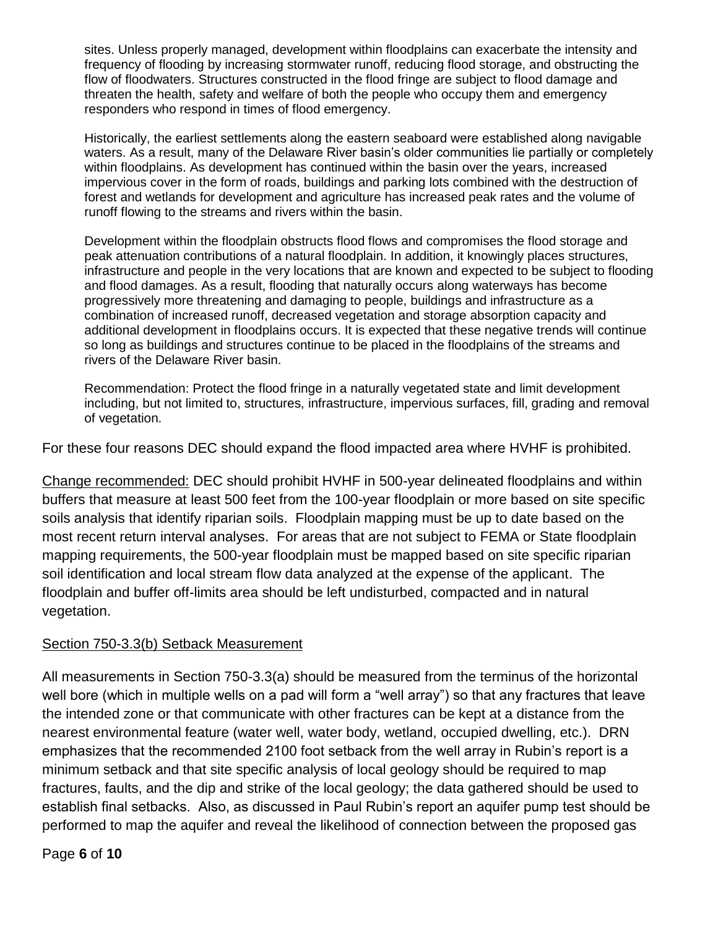sites. Unless properly managed, development within floodplains can exacerbate the intensity and frequency of flooding by increasing stormwater runoff, reducing flood storage, and obstructing the flow of floodwaters. Structures constructed in the flood fringe are subject to flood damage and threaten the health, safety and welfare of both the people who occupy them and emergency responders who respond in times of flood emergency.

Historically, the earliest settlements along the eastern seaboard were established along navigable waters. As a result, many of the Delaware River basin's older communities lie partially or completely within floodplains. As development has continued within the basin over the years, increased impervious cover in the form of roads, buildings and parking lots combined with the destruction of forest and wetlands for development and agriculture has increased peak rates and the volume of runoff flowing to the streams and rivers within the basin.

Development within the floodplain obstructs flood flows and compromises the flood storage and peak attenuation contributions of a natural floodplain. In addition, it knowingly places structures, infrastructure and people in the very locations that are known and expected to be subject to flooding and flood damages. As a result, flooding that naturally occurs along waterways has become progressively more threatening and damaging to people, buildings and infrastructure as a combination of increased runoff, decreased vegetation and storage absorption capacity and additional development in floodplains occurs. It is expected that these negative trends will continue so long as buildings and structures continue to be placed in the floodplains of the streams and rivers of the Delaware River basin.

Recommendation: Protect the flood fringe in a naturally vegetated state and limit development including, but not limited to, structures, infrastructure, impervious surfaces, fill, grading and removal of vegetation.

For these four reasons DEC should expand the flood impacted area where HVHF is prohibited.

Change recommended: DEC should prohibit HVHF in 500-year delineated floodplains and within buffers that measure at least 500 feet from the 100-year floodplain or more based on site specific soils analysis that identify riparian soils. Floodplain mapping must be up to date based on the most recent return interval analyses. For areas that are not subject to FEMA or State floodplain mapping requirements, the 500-year floodplain must be mapped based on site specific riparian soil identification and local stream flow data analyzed at the expense of the applicant. The floodplain and buffer off-limits area should be left undisturbed, compacted and in natural vegetation.

### Section 750-3.3(b) Setback Measurement

All measurements in Section 750-3.3(a) should be measured from the terminus of the horizontal well bore (which in multiple wells on a pad will form a "well array") so that any fractures that leave the intended zone or that communicate with other fractures can be kept at a distance from the nearest environmental feature (water well, water body, wetland, occupied dwelling, etc.). DRN emphasizes that the recommended 2100 foot setback from the well array in Rubin's report is a minimum setback and that site specific analysis of local geology should be required to map fractures, faults, and the dip and strike of the local geology; the data gathered should be used to establish final setbacks. Also, as discussed in Paul Rubin's report an aquifer pump test should be performed to map the aquifer and reveal the likelihood of connection between the proposed gas

Page **6** of **10**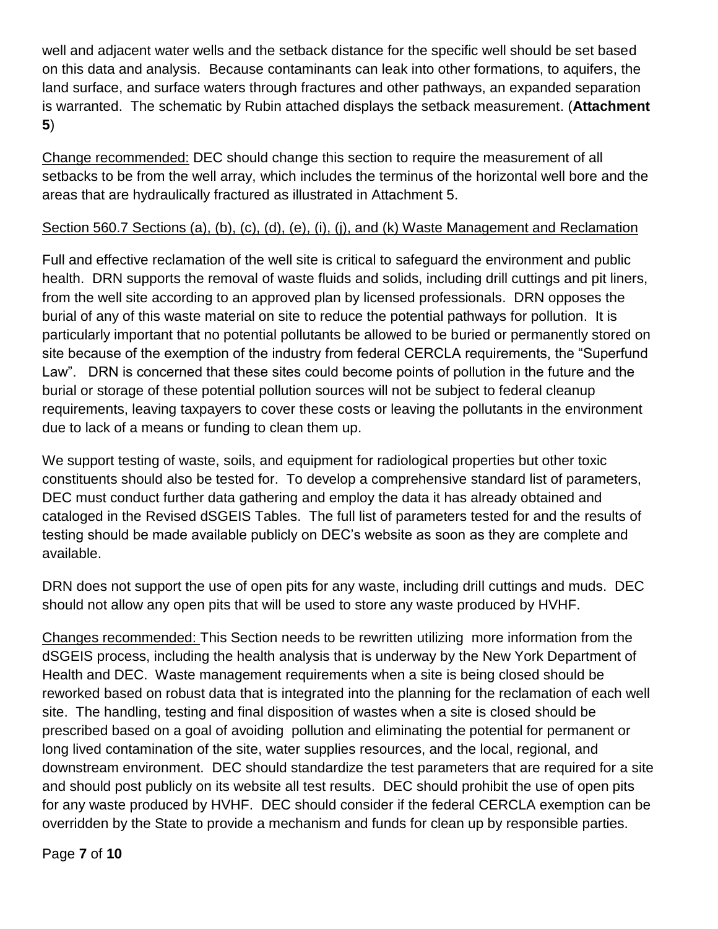well and adjacent water wells and the setback distance for the specific well should be set based on this data and analysis. Because contaminants can leak into other formations, to aquifers, the land surface, and surface waters through fractures and other pathways, an expanded separation is warranted. The schematic by Rubin attached displays the setback measurement. (**Attachment 5**)

Change recommended: DEC should change this section to require the measurement of all setbacks to be from the well array, which includes the terminus of the horizontal well bore and the areas that are hydraulically fractured as illustrated in Attachment 5.

## Section 560.7 Sections (a), (b), (c), (d), (e), (i), (j), and (k) Waste Management and Reclamation

Full and effective reclamation of the well site is critical to safeguard the environment and public health. DRN supports the removal of waste fluids and solids, including drill cuttings and pit liners, from the well site according to an approved plan by licensed professionals. DRN opposes the burial of any of this waste material on site to reduce the potential pathways for pollution. It is particularly important that no potential pollutants be allowed to be buried or permanently stored on site because of the exemption of the industry from federal CERCLA requirements, the "Superfund Law". DRN is concerned that these sites could become points of pollution in the future and the burial or storage of these potential pollution sources will not be subject to federal cleanup requirements, leaving taxpayers to cover these costs or leaving the pollutants in the environment due to lack of a means or funding to clean them up.

We support testing of waste, soils, and equipment for radiological properties but other toxic constituents should also be tested for. To develop a comprehensive standard list of parameters, DEC must conduct further data gathering and employ the data it has already obtained and cataloged in the Revised dSGEIS Tables. The full list of parameters tested for and the results of testing should be made available publicly on DEC's website as soon as they are complete and available.

DRN does not support the use of open pits for any waste, including drill cuttings and muds. DEC should not allow any open pits that will be used to store any waste produced by HVHF.

Changes recommended: This Section needs to be rewritten utilizing more information from the dSGEIS process, including the health analysis that is underway by the New York Department of Health and DEC. Waste management requirements when a site is being closed should be reworked based on robust data that is integrated into the planning for the reclamation of each well site. The handling, testing and final disposition of wastes when a site is closed should be prescribed based on a goal of avoiding pollution and eliminating the potential for permanent or long lived contamination of the site, water supplies resources, and the local, regional, and downstream environment. DEC should standardize the test parameters that are required for a site and should post publicly on its website all test results. DEC should prohibit the use of open pits for any waste produced by HVHF. DEC should consider if the federal CERCLA exemption can be overridden by the State to provide a mechanism and funds for clean up by responsible parties.

Page **7** of **10**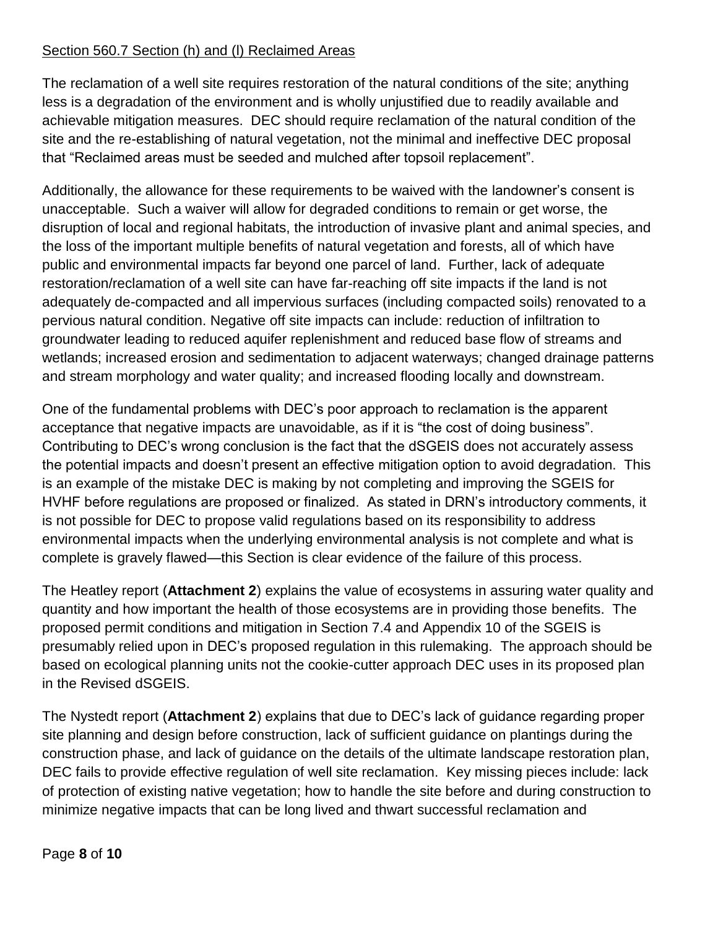## Section 560.7 Section (h) and (l) Reclaimed Areas

The reclamation of a well site requires restoration of the natural conditions of the site; anything less is a degradation of the environment and is wholly unjustified due to readily available and achievable mitigation measures. DEC should require reclamation of the natural condition of the site and the re-establishing of natural vegetation, not the minimal and ineffective DEC proposal that "Reclaimed areas must be seeded and mulched after topsoil replacement".

Additionally, the allowance for these requirements to be waived with the landowner's consent is unacceptable. Such a waiver will allow for degraded conditions to remain or get worse, the disruption of local and regional habitats, the introduction of invasive plant and animal species, and the loss of the important multiple benefits of natural vegetation and forests, all of which have public and environmental impacts far beyond one parcel of land. Further, lack of adequate restoration/reclamation of a well site can have far-reaching off site impacts if the land is not adequately de-compacted and all impervious surfaces (including compacted soils) renovated to a pervious natural condition. Negative off site impacts can include: reduction of infiltration to groundwater leading to reduced aquifer replenishment and reduced base flow of streams and wetlands; increased erosion and sedimentation to adjacent waterways; changed drainage patterns and stream morphology and water quality; and increased flooding locally and downstream.

One of the fundamental problems with DEC's poor approach to reclamation is the apparent acceptance that negative impacts are unavoidable, as if it is "the cost of doing business". Contributing to DEC's wrong conclusion is the fact that the dSGEIS does not accurately assess the potential impacts and doesn't present an effective mitigation option to avoid degradation. This is an example of the mistake DEC is making by not completing and improving the SGEIS for HVHF before regulations are proposed or finalized. As stated in DRN's introductory comments, it is not possible for DEC to propose valid regulations based on its responsibility to address environmental impacts when the underlying environmental analysis is not complete and what is complete is gravely flawed—this Section is clear evidence of the failure of this process.

The Heatley report (**Attachment 2**) explains the value of ecosystems in assuring water quality and quantity and how important the health of those ecosystems are in providing those benefits. The proposed permit conditions and mitigation in Section 7.4 and Appendix 10 of the SGEIS is presumably relied upon in DEC's proposed regulation in this rulemaking. The approach should be based on ecological planning units not the cookie-cutter approach DEC uses in its proposed plan in the Revised dSGEIS.

The Nystedt report (**Attachment 2**) explains that due to DEC's lack of guidance regarding proper site planning and design before construction, lack of sufficient guidance on plantings during the construction phase, and lack of guidance on the details of the ultimate landscape restoration plan, DEC fails to provide effective regulation of well site reclamation. Key missing pieces include: lack of protection of existing native vegetation; how to handle the site before and during construction to minimize negative impacts that can be long lived and thwart successful reclamation and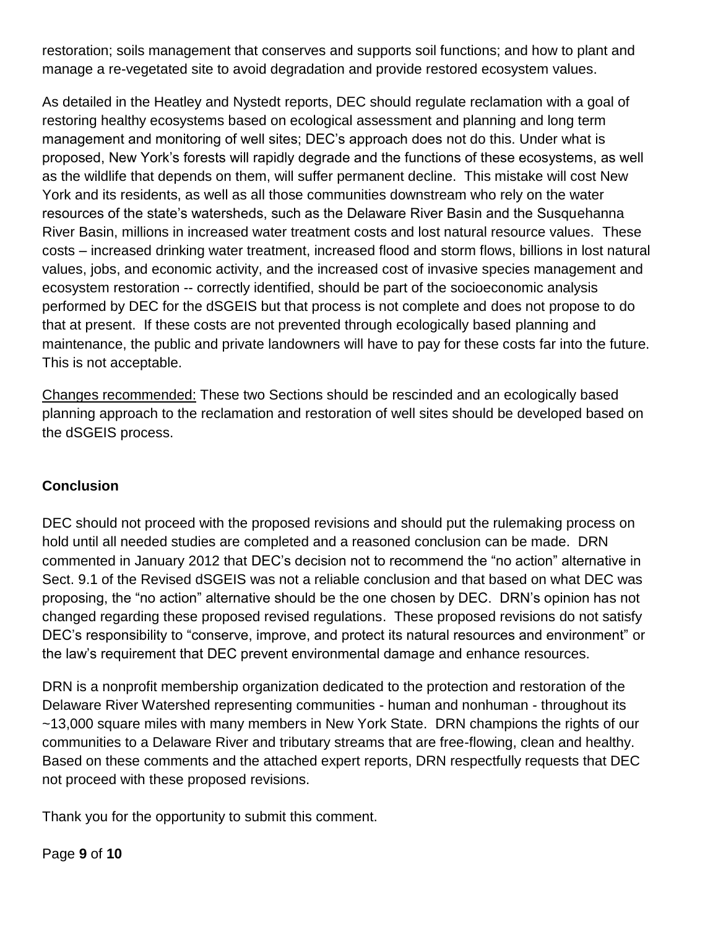restoration; soils management that conserves and supports soil functions; and how to plant and manage a re-vegetated site to avoid degradation and provide restored ecosystem values.

As detailed in the Heatley and Nystedt reports, DEC should regulate reclamation with a goal of restoring healthy ecosystems based on ecological assessment and planning and long term management and monitoring of well sites; DEC's approach does not do this. Under what is proposed, New York's forests will rapidly degrade and the functions of these ecosystems, as well as the wildlife that depends on them, will suffer permanent decline. This mistake will cost New York and its residents, as well as all those communities downstream who rely on the water resources of the state's watersheds, such as the Delaware River Basin and the Susquehanna River Basin, millions in increased water treatment costs and lost natural resource values. These costs – increased drinking water treatment, increased flood and storm flows, billions in lost natural values, jobs, and economic activity, and the increased cost of invasive species management and ecosystem restoration -- correctly identified, should be part of the socioeconomic analysis performed by DEC for the dSGEIS but that process is not complete and does not propose to do that at present. If these costs are not prevented through ecologically based planning and maintenance, the public and private landowners will have to pay for these costs far into the future. This is not acceptable.

Changes recommended: These two Sections should be rescinded and an ecologically based planning approach to the reclamation and restoration of well sites should be developed based on the dSGEIS process.

### **Conclusion**

DEC should not proceed with the proposed revisions and should put the rulemaking process on hold until all needed studies are completed and a reasoned conclusion can be made. DRN commented in January 2012 that DEC's decision not to recommend the "no action" alternative in Sect. 9.1 of the Revised dSGEIS was not a reliable conclusion and that based on what DEC was proposing, the "no action" alternative should be the one chosen by DEC. DRN's opinion has not changed regarding these proposed revised regulations. These proposed revisions do not satisfy DEC's responsibility to "conserve, improve, and protect its natural resources and environment" or the law's requirement that DEC prevent environmental damage and enhance resources.

DRN is a nonprofit membership organization dedicated to the protection and restoration of the Delaware River Watershed representing communities - human and nonhuman - throughout its ~13,000 square miles with many members in New York State. DRN champions the rights of our communities to a Delaware River and tributary streams that are free-flowing, clean and healthy. Based on these comments and the attached expert reports, DRN respectfully requests that DEC not proceed with these proposed revisions.

Thank you for the opportunity to submit this comment.